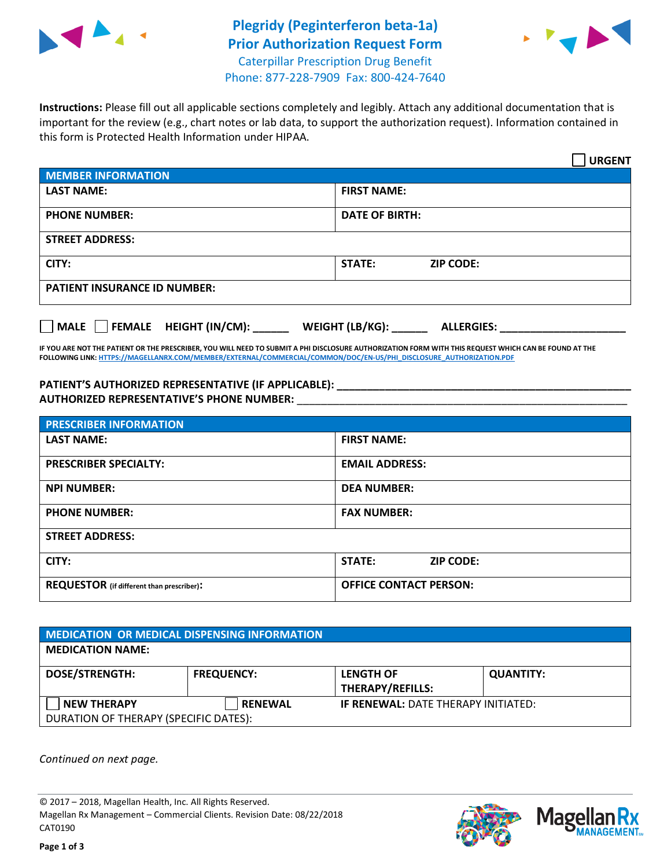

## **Plegridy (Peginterferon beta-1a) Prior Authorization Request Form** Caterpillar Prescription Drug Benefit



Phone: 877-228-7909 Fax: 800-424-7640

**Instructions:** Please fill out all applicable sections completely and legibly. Attach any additional documentation that is important for the review (e.g., chart notes or lab data, to support the authorization request). Information contained in this form is Protected Health Information under HIPAA.

|                                       | <b>URGENT</b>                        |  |  |  |
|---------------------------------------|--------------------------------------|--|--|--|
| <b>MEMBER INFORMATION</b>             |                                      |  |  |  |
| <b>LAST NAME:</b>                     | <b>FIRST NAME:</b>                   |  |  |  |
| <b>PHONE NUMBER:</b>                  | <b>DATE OF BIRTH:</b>                |  |  |  |
| <b>STREET ADDRESS:</b>                |                                      |  |  |  |
| CITY:                                 | <b>STATE:</b><br><b>ZIP CODE:</b>    |  |  |  |
| <b>PATIENT INSURANCE ID NUMBER:</b>   |                                      |  |  |  |
| FEMALE HEIGHT (IN/CM):<br><b>MALE</b> | WEIGHT (LB/KG):<br><b>ALLERGIES:</b> |  |  |  |

**IF YOU ARE NOT THE PATIENT OR THE PRESCRIBER, YOU WILL NEED TO SUBMIT A PHI DISCLOSURE AUTHORIZATION FORM WITH THIS REQUEST WHICH CAN BE FOUND AT THE FOLLOWING LINK[: HTTPS://MAGELLANRX.COM/MEMBER/EXTERNAL/COMMERCIAL/COMMON/DOC/EN-US/PHI\\_DISCLOSURE\\_AUTHORIZATION.PDF](https://magellanrx.com/member/external/commercial/common/doc/en-us/PHI_Disclosure_Authorization.pdf)**

**PATIENT'S AUTHORIZED REPRESENTATIVE (IF APPLICABLE): \_\_\_\_\_\_\_\_\_\_\_\_\_\_\_\_\_\_\_\_\_\_\_\_\_\_\_\_\_\_\_\_\_\_\_\_\_\_\_\_\_\_\_\_\_\_\_\_\_ AUTHORIZED REPRESENTATIVE'S PHONE NUMBER:** \_\_\_\_\_\_\_\_\_\_\_\_\_\_\_\_\_\_\_\_\_\_\_\_\_\_\_\_\_\_\_\_\_\_\_\_\_\_\_\_\_\_\_\_\_\_\_\_\_\_\_\_\_\_\_

| <b>PRESCRIBER INFORMATION</b>             |                               |  |  |  |
|-------------------------------------------|-------------------------------|--|--|--|
| <b>LAST NAME:</b>                         | <b>FIRST NAME:</b>            |  |  |  |
| <b>PRESCRIBER SPECIALTY:</b>              | <b>EMAIL ADDRESS:</b>         |  |  |  |
| <b>NPI NUMBER:</b>                        | <b>DEA NUMBER:</b>            |  |  |  |
| <b>PHONE NUMBER:</b>                      | <b>FAX NUMBER:</b>            |  |  |  |
| <b>STREET ADDRESS:</b>                    |                               |  |  |  |
| CITY:                                     | STATE:<br><b>ZIP CODE:</b>    |  |  |  |
| REQUESTOR (if different than prescriber): | <b>OFFICE CONTACT PERSON:</b> |  |  |  |

| <b>MEDICATION OR MEDICAL DISPENSING INFORMATION</b> |                   |                                            |                  |  |  |
|-----------------------------------------------------|-------------------|--------------------------------------------|------------------|--|--|
| <b>MEDICATION NAME:</b>                             |                   |                                            |                  |  |  |
| <b>DOSE/STRENGTH:</b>                               | <b>FREQUENCY:</b> | <b>LENGTH OF</b>                           | <b>QUANTITY:</b> |  |  |
|                                                     |                   | <b>THERAPY/REFILLS:</b>                    |                  |  |  |
| <b>NEW THERAPY</b>                                  | <b>RENEWAL</b>    | <b>IF RENEWAL: DATE THERAPY INITIATED:</b> |                  |  |  |
| DURATION OF THERAPY (SPECIFIC DATES):               |                   |                                            |                  |  |  |

*Continued on next page.*

© 2017 – 2018, Magellan Health, Inc. All Rights Reserved. Magellan Rx Management – Commercial Clients. Revision Date: 08/22/2018 CAT0190



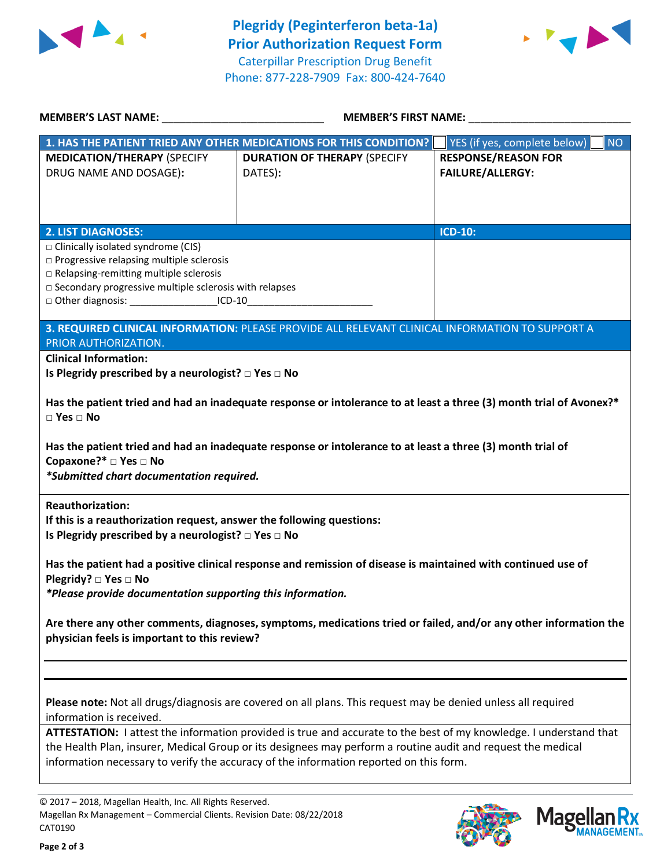



| <b>MEMBER'S LAST NAME:</b> NAME                                                                                                                                                 | <b>MEMBER'S FIRST NAME:</b>                                                                                         |                                           |  |  |  |
|---------------------------------------------------------------------------------------------------------------------------------------------------------------------------------|---------------------------------------------------------------------------------------------------------------------|-------------------------------------------|--|--|--|
|                                                                                                                                                                                 | 1. HAS THE PATIENT TRIED ANY OTHER MEDICATIONS FOR THIS CONDITION?                                                  | YES (if yes, complete below)<br><b>NO</b> |  |  |  |
| <b>MEDICATION/THERAPY (SPECIFY</b>                                                                                                                                              | <b>DURATION OF THERAPY (SPECIFY</b>                                                                                 | <b>RESPONSE/REASON FOR</b>                |  |  |  |
| DRUG NAME AND DOSAGE):                                                                                                                                                          | DATES):                                                                                                             | <b>FAILURE/ALLERGY:</b>                   |  |  |  |
|                                                                                                                                                                                 |                                                                                                                     |                                           |  |  |  |
|                                                                                                                                                                                 |                                                                                                                     |                                           |  |  |  |
| <b>2. LIST DIAGNOSES:</b>                                                                                                                                                       |                                                                                                                     | <b>ICD-10:</b>                            |  |  |  |
| $\Box$ Clinically isolated syndrome (CIS)                                                                                                                                       |                                                                                                                     |                                           |  |  |  |
| □ Progressive relapsing multiple sclerosis                                                                                                                                      |                                                                                                                     |                                           |  |  |  |
| □ Relapsing-remitting multiple sclerosis                                                                                                                                        |                                                                                                                     |                                           |  |  |  |
| □ Secondary progressive multiple sclerosis with relapses<br>□ Other diagnosis: ______________________ICD-10________________________________                                     |                                                                                                                     |                                           |  |  |  |
|                                                                                                                                                                                 |                                                                                                                     |                                           |  |  |  |
|                                                                                                                                                                                 | 3. REQUIRED CLINICAL INFORMATION: PLEASE PROVIDE ALL RELEVANT CLINICAL INFORMATION TO SUPPORT A                     |                                           |  |  |  |
| PRIOR AUTHORIZATION.                                                                                                                                                            |                                                                                                                     |                                           |  |  |  |
| <b>Clinical Information:</b>                                                                                                                                                    |                                                                                                                     |                                           |  |  |  |
| Is Plegridy prescribed by a neurologist? $\square$ Yes $\square$ No                                                                                                             |                                                                                                                     |                                           |  |  |  |
|                                                                                                                                                                                 | Has the patient tried and had an inadequate response or intolerance to at least a three (3) month trial of Avonex?* |                                           |  |  |  |
| $\Box$ Yes $\Box$ No                                                                                                                                                            |                                                                                                                     |                                           |  |  |  |
| Has the patient tried and had an inadequate response or intolerance to at least a three (3) month trial of<br>Copaxone?* □ Yes □ No<br>*Submitted chart documentation required. |                                                                                                                     |                                           |  |  |  |
| <b>Reauthorization:</b>                                                                                                                                                         |                                                                                                                     |                                           |  |  |  |
| If this is a reauthorization request, answer the following questions:                                                                                                           |                                                                                                                     |                                           |  |  |  |
| Is Plegridy prescribed by a neurologist? $\Box$ Yes $\Box$ No                                                                                                                   |                                                                                                                     |                                           |  |  |  |
| Has the patient had a positive clinical response and remission of disease is maintained with continued use of                                                                   |                                                                                                                     |                                           |  |  |  |
| Plegridy? $\Box$ Yes $\Box$ No                                                                                                                                                  |                                                                                                                     |                                           |  |  |  |
| *Please provide documentation supporting this information.                                                                                                                      |                                                                                                                     |                                           |  |  |  |
| Are there any other comments, diagnoses, symptoms, medications tried or failed, and/or any other information the<br>physician feels is important to this review?                |                                                                                                                     |                                           |  |  |  |
|                                                                                                                                                                                 |                                                                                                                     |                                           |  |  |  |
|                                                                                                                                                                                 |                                                                                                                     |                                           |  |  |  |
|                                                                                                                                                                                 |                                                                                                                     |                                           |  |  |  |
| Please note: Not all drugs/diagnosis are covered on all plans. This request may be denied unless all required<br>information is received.                                       |                                                                                                                     |                                           |  |  |  |
| ATTESTATION: I attest the information provided is true and accurate to the best of my knowledge. I understand that                                                              |                                                                                                                     |                                           |  |  |  |
| the Health Plan, insurer, Medical Group or its designees may perform a routine audit and request the medical                                                                    |                                                                                                                     |                                           |  |  |  |
|                                                                                                                                                                                 | information necessary to verify the accuracy of the information reported on this form.                              |                                           |  |  |  |
|                                                                                                                                                                                 |                                                                                                                     |                                           |  |  |  |

© 2017 – 2018, Magellan Health, Inc. All Rights Reserved. Magellan Rx Management – Commercial Clients. Revision Date: 08/22/2018 CAT0190